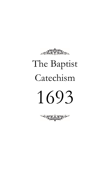

# The Baptist Catechism 1693

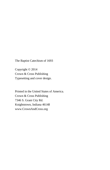The Baptist Catechism of 1693

Copyright © 2014 Crown & Cross Publishing Typesetting and cover design.

Printed in the United States of America. Crown & Cross Publishing 7346 S. Grant City Rd. Knightstown, Indiana 46148 www.CrownAndCross.org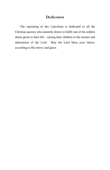#### **Dedication**

The reprinting of this Catechism is dedicated to all the Christian parents who earnestly desire to fulfill one of the noblest duties given to their life – raising their children in the nurture and admonition of the Lord. May the Lord bless your labors, according to His mercy and grace.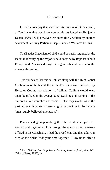#### **Foreword**

It is with great joy that we offer this treasure of biblical truth, a Catechism that has been commonly attributed to Benjamin Keach (1640-1704) however was most likely written by another seventeenth century Particular Baptist named Williams Collins. 1

The Baptist Catechism of 1693 could be easily regarded as the leader in identifying the majority held doctrine by Baptists in both Europe and America during the eighteenth and well into the nineteenth century.

It is our desire that this catechism along with the 1689 Baptist Confession of faith and the Orthodox Catechism authored by Hercules Collins (no relation to William Collins) would once again be utilized in the evangelizing, teaching and training of the children in our churches and homes. That they would, as in the past, aid our churches in preserving those precious truths that are "most surely believed amongst us".

Parents and grandparents, gather the children in your life around, and together explore through the questions and answers offered in the Catechism. Read the proof texts and then add your own as the Spirit leads your time together. Allow us to offer a

l

<sup>&</sup>lt;sup>1</sup> Tom Nettles, *Teaching Truth, Training Hearts* (Amityville, NY: Calvary Press, 1998),49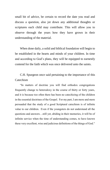small bit of advice, be certain to record the date you read and discuss a question, also jot down any additional thoughts or scriptures each child may contribute. This will allow you to observe through the years how they have grown in their understanding of the material.

When done daily, a solid and biblical foundation will begin to be established in the hearts and minds of your children. In time and according to God's plans, they will be equipped to earnestly contend for the faith which was once delivered unto the saints.

C.H. Spurgeon once said pertaining to the importance of this Catechism

"In matters of doctrine you will find orthodox congregations frequently change to heterodoxy in the course of thirty or forty years, and it is because too often there has been no catechizing of the children in the essential doctrines of the Gospel. For my part, I am more and more persuaded that the study of a good Scriptural catechism is of infinite value to our children. Even if the youngsters do not understand all the questions and answers…still yet, abiding in their memories, it will be of infinite service when the time of understanding comes, to have known these very excellent, wise and judicious definitions of the things of God."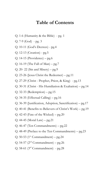# **Table of Contents**

- Q. 1-6 (Humanity & the Bible) pg. 1
- Q. 7-9 (God) pg. 3
- Q. 10-11 (God's Decrees) pg.4
- Q. 12-13 (Creation) pg.5
- Q. 14-15 (Providence) pg.6
- Q. 16-19 (The Fall of Man) pg.7
- Q. 20- 22 (Sin and Misery) pg.9
- Q. 23-26 (Jesus Christ the Redeemer) pg.11
- Q. 27-29 (Christ Prophet, Priest, & King) pg.13
- Q. 30-31 (Christ His Humiliation & Exaltation) pg.14
- Q. 32-33 (Redemption) pg.15
- Q. 34-35 (Effectual Calling) pg.16
- Q. 36-39 (Justification, Adoption, Sanctification) pg.17
- Q. 40-41 (Benefits to Believers of Christ's Work) pg.19
- Q. 42-43 (Fate of the Wicked)  $pg.20$
- Q. 44-45 (Moral Law) pg.21
- Q. 46-47 (Ten Commandments) pg.22
- Q. 48-49 (Preface to the Ten Commandments) pg.23
- Q. 50-53 ( $1<sup>st</sup>$  Commandment) pg.24
- Q. 54-57 ( $2<sup>nd</sup>$  Commandment) pg.26
- Q. 58-61 ( $3<sup>rd</sup>$  Commandment) pg.28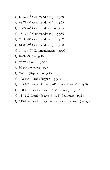- Q. 62-67 ( $4^{\text{th}}$  Commandment) pg.30
- Q. 68-71 ( $5<sup>th</sup>$  Commandment) pg.33
- Q. 72-74 ( $6<sup>th</sup>$  Commandment) pg.35
- Q. 75-77 ( $7<sup>th</sup>$  Commandment) pg.36
- Q. 78-80 ( $8<sup>th</sup>$  Commandment) pg.37
- Q. 81-83 ( $9<sup>th</sup>$  Commandment) pg.38
- Q. 84-86  $(10^{th}$  Commandment) pg.39
- Q. 87-92 (Sin) pg. 40
- $Q. 93-95$  (Word) pg.42
- Q. 96 (Ordinances) pg.44
- Q. 97-101 (Baptism) pg.45
- Q. 102-104 (Lord's Supper) pg.48
- Q. 105-107 (Prayer & the Lord's Prayer Preface) pg.50
- Q. 108-110 (Lord's Prayer,  $1^{st}$ -3<sup>rd</sup> Petition) pg.52
- Q. 111-112 (Lord's Prayer,  $4^{th}$  &  $5^{th}$  Petitions) pg.54
- Q. 113-114 (Lord's Prayer,  $6<sup>th</sup>$  Petition-Conclusion) pg.55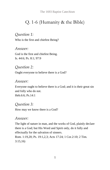The 1693 Baptist Catechism

# Q. 1-6 (Humanity & the Bible)

## *Question 1:*

Who is the first and chiefest Being?

#### *Answer:*

God is the first and chiefest Being. Is. 44:6; Ps. 8:1; 97:9

#### *Question 2:*

Ought everyone to believe there is a God?

#### *Answer:*

Everyone ought to believe there is a God; and it is their great sin and folly who do not. Heb.6:6; Ps.14:1

#### *Question 3:*

How may we know there is a God?

## *Answer:*

The light of nature in man, and the works of God, plainly declare there is a God; but His Word and Spirit only, do it fully and effectually for the salvation of sinners.

Rom. 1:19,20; Ps. 19:1,2,3; Acts 17:24; 1 Cor.2:10; 2 Tim. 3:15,16)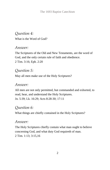# *Question 4:* What is the Word of God?

## *Answer:*

The Scriptures of the Old and New Testaments, are the word of God, and the only certain rule of faith and obedience. 2 Tim. 3:16; Eph. 2:20

# *Question 5:*

May all men make use of the Holy Scriptures?

## *Answer:*

All men are not only permitted, but commanded and exhorted, to read, hear, and understand the Holy Scriptures. Jn. 5:39; Lk. 16:29; Acts 8:28-30; 17:11

# *Question 6:*

What things are chiefly contained in the Holy Scriptures?

## *Answer:*

The Holy Scriptures chiefly contain what man ought to believe concerning God, and what duty God requireth of man. 2 Tim. 1:13; 3:15,16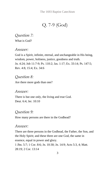# Q. 7-9 (God)

*Question 7:* What is God?

## *Answer:*

God is a Spirit, infinite, eternal, and unchangeable in His being, wisdom, power, holiness, justice, goodness and truth. Jn. 4:24; Job 11:7-9; Ps. 110:2; Jas. 1:17; Ex. 33:14; Ps. 147:5; Rev. 4:8, 15:4; Ex. 34:6

## *Question 8:*

Are there more gods than one?

## *Answer:*

There is but one only, the living and true God. Deut. 6:4; Jer. 10:10

## *Question 9:*

How many persons are there in the Godhead?

## *Answer:*

There are three persons in the Godhead, the Father, the Son, and the Holy Spirit; and these three are one God, the same in essence, equal in power and glory. 1 Jhn. 5:7; 1 Cor. 8:6; Jn. 10:30; Jn. 14:9; Acts 5:3, 4; Matt.

28:19; 2 Cor. 13:14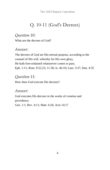The 1693 Baptist Catechism

# Q. 10-11 (God's Decrees)

# *Question 10:*

What are the decrees of God?

## *Answer:*

The decrees of God are His eternal purpose, according to the counsel of His will, whereby for His own glory, He hath fore-ordained whatsoever comes to pass. Eph. 1:11; Rom. 9:22,23; 11:36; Is. 46:10; Lam. 3:37; Dan. 4:35

## *Question 11:*

How does God execute His decrees?

## *Answer:*

God executes His decrees in the works of creation and providence.

Gen. 1:1; Rev. 4:11; Matt. 6:26; Acts 14:17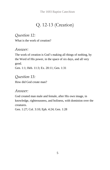# Q. 12-13 (Creation)

# *Question 12:*

What is the work of creation?

# *Answer:*

The work of creation is God's making all things of nothing, by the Word of His power, in the space of six days, and all very good.

Gen. 1:1; Heb. 11:3; Ex. 20:11; Gen. 1:31

# *Question 13:*

How did God create man?

# *Answer:*

God created man male and female, after His own image, in knowledge, righteousness, and holiness, with dominion over the creatures.

Gen. 1:27; Col. 3:10; Eph. 4:24; Gen. 1:28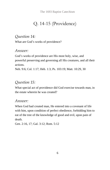The 1693 Baptist Catechism

# Q. 14-15 (Providence)

# *Question 14:*

What are God's works of providence?

## *Answer:*

God's works of providence are His most holy, wise, and powerful preserving and governing all His creatures, and all their actions.

Neh. 9:6; Col. 1:17; Heb. 1:3; Ps. 103:19; Matt. 10:29, 30

# *Question 15:*

What special act of providence did God exercise towards man, in the estate wherein he was created?

## *Answer:*

When God had created man, He entered into a covenant of life with him, upon condition of perfect obedience, forbidding him to eat of the tree of the knowledge of good and evil, upon pain of death.

Gen. 2:16, 17; Gal. 3:12; Rom. 5:12